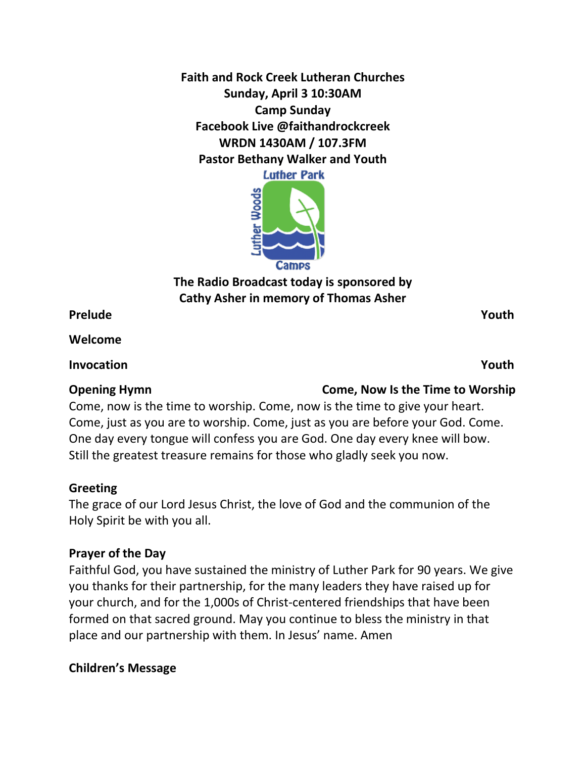**Faith and Rock Creek Lutheran Churches Sunday, April 3 10:30AM Camp Sunday Facebook Live @faithandrockcreek WRDN 1430AM / 107.3FM Pastor Bethany Walker and Youth Luther Park** 



**The Radio Broadcast today is sponsored by Cathy Asher in memory of Thomas Asher**

**Prelude Service Service Service Service Service Service Service Service Service Service Service Service Service** 

**Welcome**

**Invocation** Youth

# **Opening Hymn** Come, Now Is the Time to Worship

Come, now is the time to worship. Come, now is the time to give your heart. Come, just as you are to worship. Come, just as you are before your God. Come. One day every tongue will confess you are God. One day every knee will bow. Still the greatest treasure remains for those who gladly seek you now.

# **Greeting**

The grace of our Lord Jesus Christ, the love of God and the communion of the Holy Spirit be with you all.

# **Prayer of the Day**

Faithful God, you have sustained the ministry of Luther Park for 90 years. We give you thanks for their partnership, for the many leaders they have raised up for your church, and for the 1,000s of Christ-centered friendships that have been formed on that sacred ground. May you continue to bless the ministry in that place and our partnership with them. In Jesus' name. Amen

# **Children's Message**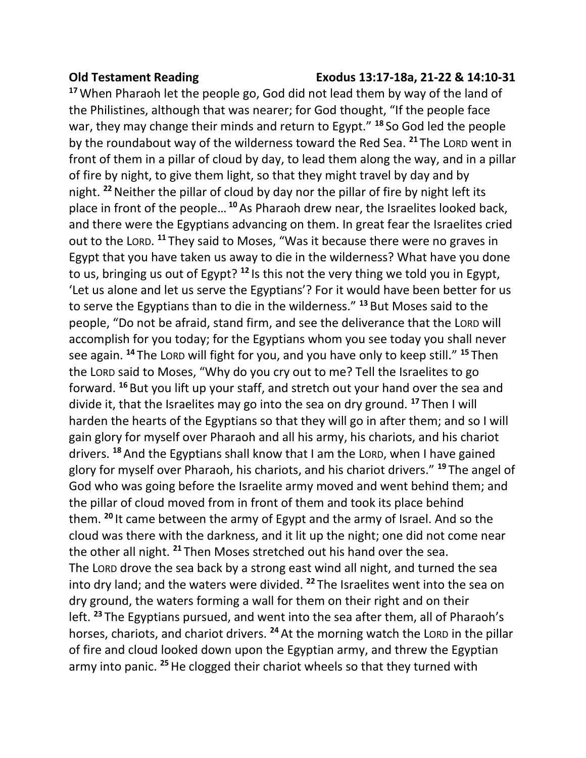### **Old Testament Reading Exodus 13:17-18a, 21-22 & 14:10-31**

**<sup>17</sup>**When Pharaoh let the people go, God did not lead them by way of the land of the Philistines, although that was nearer; for God thought, "If the people face war, they may change their minds and return to Egypt." **<sup>18</sup>** So God led the people by the roundabout way of the wilderness toward the Red Sea. **<sup>21</sup>** The LORD went in front of them in a pillar of cloud by day, to lead them along the way, and in a pillar of fire by night, to give them light, so that they might travel by day and by night. **<sup>22</sup>**Neither the pillar of cloud by day nor the pillar of fire by night left its place in front of the people… **<sup>10</sup>**As Pharaoh drew near, the Israelites looked back, and there were the Egyptians advancing on them. In great fear the Israelites cried out to the LORD. **<sup>11</sup>** They said to Moses, "Was it because there were no graves in Egypt that you have taken us away to die in the wilderness? What have you done to us, bringing us out of Egypt? **<sup>12</sup>** Is this not the very thing we told you in Egypt, 'Let us alone and let us serve the Egyptians'? For it would have been better for us to serve the Egyptians than to die in the wilderness." **<sup>13</sup>** But Moses said to the people, "Do not be afraid, stand firm, and see the deliverance that the LORD will accomplish for you today; for the Egyptians whom you see today you shall never see again. **<sup>14</sup>** The LORD will fight for you, and you have only to keep still." **<sup>15</sup>** Then the LORD said to Moses, "Why do you cry out to me? Tell the Israelites to go forward. **<sup>16</sup>** But you lift up your staff, and stretch out your hand over the sea and divide it, that the Israelites may go into the sea on dry ground. **<sup>17</sup>** Then I will harden the hearts of the Egyptians so that they will go in after them; and so I will gain glory for myself over Pharaoh and all his army, his chariots, and his chariot drivers. **<sup>18</sup>** And the Egyptians shall know that I am the LORD, when I have gained glory for myself over Pharaoh, his chariots, and his chariot drivers." **<sup>19</sup>** The angel of God who was going before the Israelite army moved and went behind them; and the pillar of cloud moved from in front of them and took its place behind them. **<sup>20</sup>** It came between the army of Egypt and the army of Israel. And so the cloud was there with the darkness, and it lit up the night; one did not come near the other all night. **<sup>21</sup>** Then Moses stretched out his hand over the sea. The LORD drove the sea back by a strong east wind all night, and turned the sea into dry land; and the waters were divided. **<sup>22</sup>** The Israelites went into the sea on dry ground, the waters forming a wall for them on their right and on their left. **<sup>23</sup>** The Egyptians pursued, and went into the sea after them, all of Pharaoh's horses, chariots, and chariot drivers. **<sup>24</sup>** At the morning watch the LORD in the pillar of fire and cloud looked down upon the Egyptian army, and threw the Egyptian army into panic. **<sup>25</sup>**He clogged their chariot wheels so that they turned with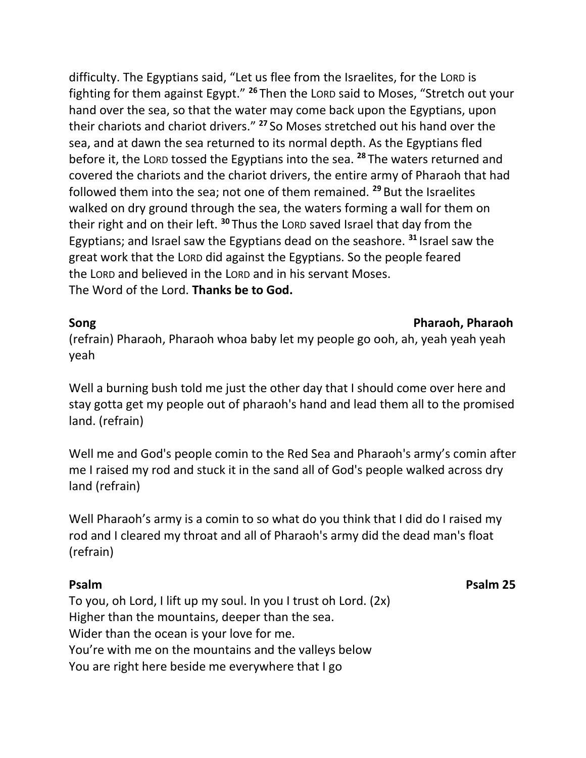difficulty. The Egyptians said, "Let us flee from the Israelites, for the LORD is fighting for them against Egypt." **<sup>26</sup>** Then the LORD said to Moses, "Stretch out your hand over the sea, so that the water may come back upon the Egyptians, upon their chariots and chariot drivers." **<sup>27</sup>** So Moses stretched out his hand over the sea, and at dawn the sea returned to its normal depth. As the Egyptians fled before it, the LORD tossed the Egyptians into the sea. **<sup>28</sup>** The waters returned and covered the chariots and the chariot drivers, the entire army of Pharaoh that had followed them into the sea; not one of them remained. **<sup>29</sup>** But the Israelites walked on dry ground through the sea, the waters forming a wall for them on their right and on their left. **<sup>30</sup>** Thus the LORD saved Israel that day from the Egyptians; and Israel saw the Egyptians dead on the seashore. **<sup>31</sup>** Israel saw the great work that the LORD did against the Egyptians. So the people feared the LORD and believed in the LORD and in his servant Moses. The Word of the Lord. **Thanks be to God.** 

### **Song Pharaoh, Pharaoh**

(refrain) Pharaoh, Pharaoh whoa baby let my people go ooh, ah, yeah yeah yeah yeah

Well a burning bush told me just the other day that I should come over here and stay gotta get my people out of pharaoh's hand and lead them all to the promised land. (refrain)

Well me and God's people comin to the Red Sea and Pharaoh's army's comin after me I raised my rod and stuck it in the sand all of God's people walked across dry land (refrain)

Well Pharaoh's army is a comin to so what do you think that I did do I raised my rod and I cleared my throat and all of Pharaoh's army did the dead man's float (refrain)

**Psalm Psalm 25**

To you, oh Lord, I lift up my soul. In you I trust oh Lord. (2x) Higher than the mountains, deeper than the sea. Wider than the ocean is your love for me. You're with me on the mountains and the valleys below You are right here beside me everywhere that I go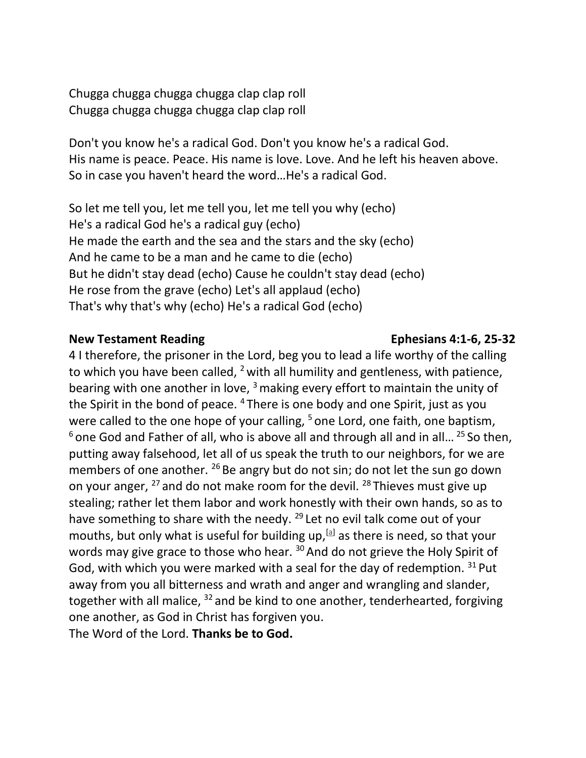Chugga chugga chugga chugga clap clap roll Chugga chugga chugga chugga clap clap roll

Don't you know he's a radical God. Don't you know he's a radical God. His name is peace. Peace. His name is love. Love. And he left his heaven above. So in case you haven't heard the word…He's a radical God.

So let me tell you, let me tell you, let me tell you why (echo) He's a radical God he's a radical guy (echo) He made the earth and the sea and the stars and the sky (echo) And he came to be a man and he came to die (echo) But he didn't stay dead (echo) Cause he couldn't stay dead (echo) He rose from the grave (echo) Let's all applaud (echo) That's why that's why (echo) He's a radical God (echo)

### **New Testament Reading Constraining the Constraint Ephesians 4:1-6, 25-32**

4 I therefore, the prisoner in the Lord, beg you to lead a life worthy of the calling to which you have been called,  $2$  with all humility and gentleness, with patience, bearing with one another in love,  $3$  making every effort to maintain the unity of the Spirit in the bond of peace. <sup>4</sup> There is one body and one Spirit, just as you were called to the one hope of your calling,  $5$  one Lord, one faith, one baptism,  $6$  one God and Father of all, who is above all and through all and in all...  $25$  So then, putting away falsehood, let all of us speak the truth to our neighbors, for we are members of one another. <sup>26</sup> Be angry but do not sin; do not let the sun go down on your anger,  $27$  and do not make room for the devil.  $28$  Thieves must give up stealing; rather let them labor and work honestly with their own hands, so as to have something to share with the needy. <sup>29</sup> Let no evil talk come out of your mouths, but only what is useful for building up,  $[{\sf a}]$  as there is need, so that your words may give grace to those who hear. <sup>30</sup> And do not grieve the Holy Spirit of God, with which you were marked with a seal for the day of redemption.  $31$  Put away from you all bitterness and wrath and anger and wrangling and slander, together with all malice,  $32$  and be kind to one another, tenderhearted, forgiving one another, as God in Christ has forgiven you.

The Word of the Lord. **Thanks be to God.**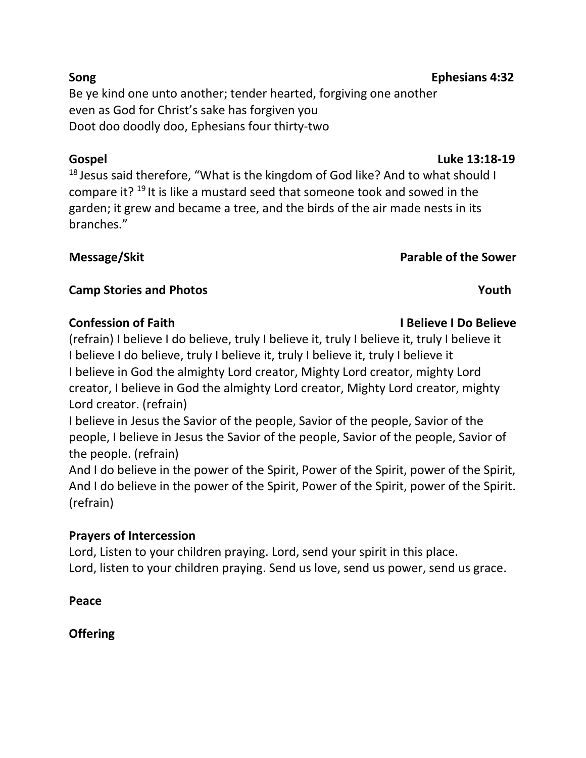# **Song Ephesians 4:32** Be ye kind one unto another; tender hearted, forgiving one another even as God for Christ's sake has forgiven you Doot doo doodly doo, Ephesians four thirty-two

**Gospel Luke 13:18-19** <sup>18</sup> Jesus said therefore, "What is the kingdom of God like? And to what should I compare it?  $19$  It is like a mustard seed that someone took and sowed in the garden; it grew and became a tree, and the birds of the air made nests in its branches."

# **Message/Skit Message/Skit Parable of the Sower**

(refrain) I believe I do believe, truly I believe it, truly I believe it, truly I believe it I believe I do believe, truly I believe it, truly I believe it, truly I believe it I believe in God the almighty Lord creator, Mighty Lord creator, mighty Lord creator, I believe in God the almighty Lord creator, Mighty Lord creator, mighty Lord creator. (refrain)

I believe in Jesus the Savior of the people, Savior of the people, Savior of the people, I believe in Jesus the Savior of the people, Savior of the people, Savior of the people. (refrain)

And I do believe in the power of the Spirit, Power of the Spirit, power of the Spirit, And I do believe in the power of the Spirit, Power of the Spirit, power of the Spirit. (refrain)

# **Prayers of Intercession**

Lord, Listen to your children praying. Lord, send your spirit in this place. Lord, listen to your children praying. Send us love, send us power, send us grace.

**Peace** 

**Offering** 

# **Camp Stories and Photos** *X* **and** *Photos**Youth**X* **and** *Youth**X* **and** *Youth**X* **and** *Youth**X* **and** *Youth**X* **and** *Youth**X* **and** *Youth**X* **and** *Youth**X* **and** *X* **and** *X* **and** *X* **and** *X* **and** *X* **and** *X* **and** *X*

# **Confession of Faith I Believe I Do Believe I Believe I Do Believe**